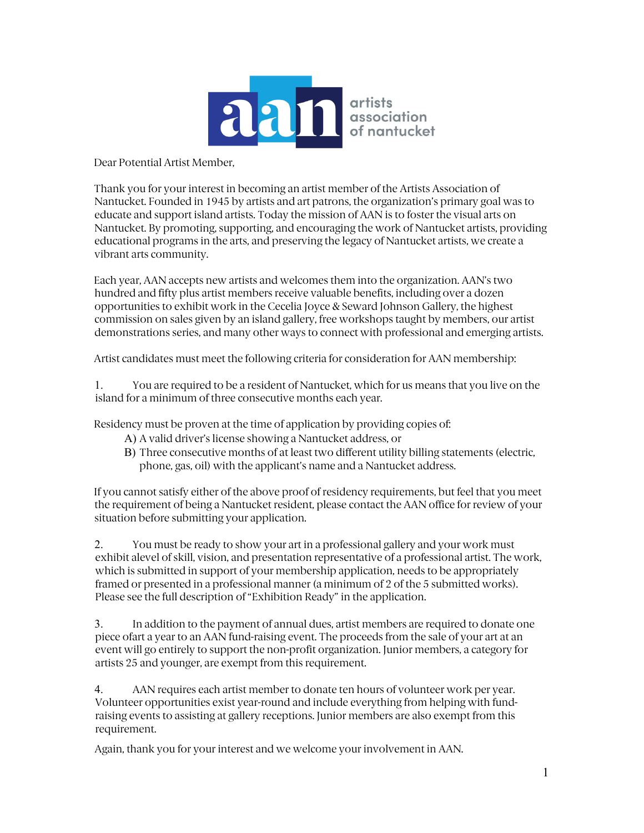

Dear Potential Artist Member,

Thank you for your interest in becoming an artist member of the Artists Association of Nantucket. Founded in 1945 by artists and art patrons, the organization's primary goal was to educate and support island artists. Today the mission of AAN is to foster the visual arts on Nantucket. By promoting, supporting, and encouraging the work of Nantucket artists, providing educational programs in the arts, and preserving the legacy of Nantucket artists, we create a vibrant arts community.

Each year, AAN accepts new artists and welcomes them into the organization. AAN's two hundred and fifty plus artist members receive valuable benefits, including over a dozen opportunities to exhibit work in the Cecelia Joyce & Seward Johnson Gallery, the highest commission on sales given by an island gallery, free workshops taught by members, our artist demonstrations series, and many other ways to connect with professional and emerging artists.

Artist candidates must meet the following criteria for consideration for AAN membership:

1. You are required to be a resident of Nantucket, which for us means that you live on the island for a minimum of three consecutive months each year.

Residency must be proven at the time of application by providing copies of:

- A) A valid driver's license showing a Nantucket address, or
- B) Three consecutive months of at least two different utility billing statements (electric, phone, gas, oil) with the applicant's name and a Nantucket address.

If you cannot satisfy either of the above proof of residency requirements, but feel that you meet the requirement of being a Nantucket resident, please contact the AAN office for review of your situation before submitting your application.

2. You must be ready to show your art in a professional gallery and your work must exhibit alevel of skill, vision, and presentation representative of a professional artist. The work, which is submitted in support of your membership application, needs to be appropriately framed or presented in a professional manner (a minimum of 2 of the 5 submitted works). Please see the full description of "Exhibition Ready" in the application.

3. In addition to the payment of annual dues, artist members are required to donate one piece ofart a year to an AAN fund-raising event. The proceeds from the sale of your art at an event will go entirely to support the non-profit organization. Junior members, a category for artists 25 and younger, are exempt from this requirement.

4. AAN requires each artist member to donate ten hours of volunteer work per year. Volunteer opportunities exist year-round and include everything from helping with fundraising events to assisting at gallery receptions. Junior members are also exempt from this requirement.

Again, thank you for your interest and we welcome your involvement in AAN.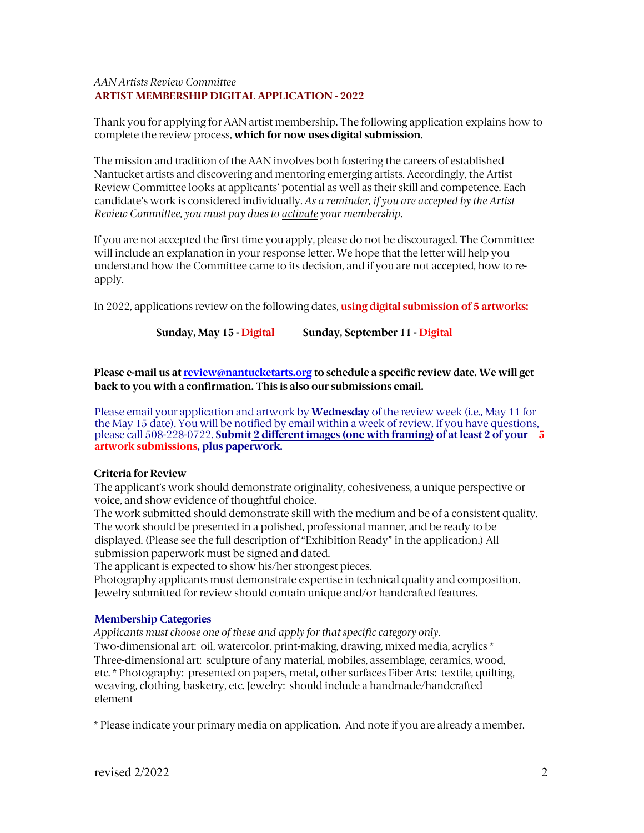## *AAN Artists Review Committee* **ARTIST MEMBERSHIP DIGITAL APPLICATION - 2022**

Thank you for applying for AAN artist membership. The following application explains how to complete the review process, **which for now uses digital submission**.

The mission and tradition of the AAN involves both fostering the careers of established Nantucket artists and discovering and mentoring emerging artists. Accordingly, the Artist Review Committee looks at applicants' potential as well as their skill and competence. Each candidate's work is considered individually. *As a reminder, if you are accepted by the Artist Review Committee, you must pay dues to activate your membership.*

If you are not accepted the first time you apply, please do not be discouraged. The Committee will include an explanation in your response letter. We hope that the letter will help you understand how the Committee came to its decision, and if you are not accepted, how to reapply.

In 2022, applications review on the following dates, **using digital submission of 5 artworks:**

**Sunday, May 15 - Digital Sunday, September 11 - Digital** 

**Please e-mail us at review@nantucketarts.org to schedule a specific review date. We will get back to you with a confirmation. This is also our submissions email.** 

Please email your application and artwork by **Wednesday** of the review week (i.e., May 11 for the May 15 date). You will be notified by email within a week of review. If you have questions, please call 508-228-0722. **Submit 2 different images (one with framing) of at least 2 of your 5 artwork submissions, plus paperwork.**

## **Criteria for Review**

The applicant's work should demonstrate originality, cohesiveness, a unique perspective or voice, and show evidence of thoughtful choice.

The work submitted should demonstrate skill with the medium and be of a consistent quality. The work should be presented in a polished, professional manner, and be ready to be displayed. (Please see the full description of "Exhibition Ready" in the application.) All submission paperwork must be signed and dated.

The applicant is expected to show his/her strongest pieces.

Photography applicants must demonstrate expertise in technical quality and composition. Jewelry submitted for review should contain unique and/or handcrafted features.

## **Membership Categories**

*Applicants must choose one of these and apply for that specific category only.*  Two-dimensional art: oil, watercolor, print-making, drawing, mixed media, acrylics \* Three-dimensional art: sculpture of any material, mobiles, assemblage, ceramics, wood, etc. \* Photography: presented on papers, metal, other surfaces Fiber Arts: textile, quilting, weaving, clothing, basketry, etc. Jewelry: should include a handmade/handcrafted element

\* Please indicate your primary media on application. And note if you are already a member.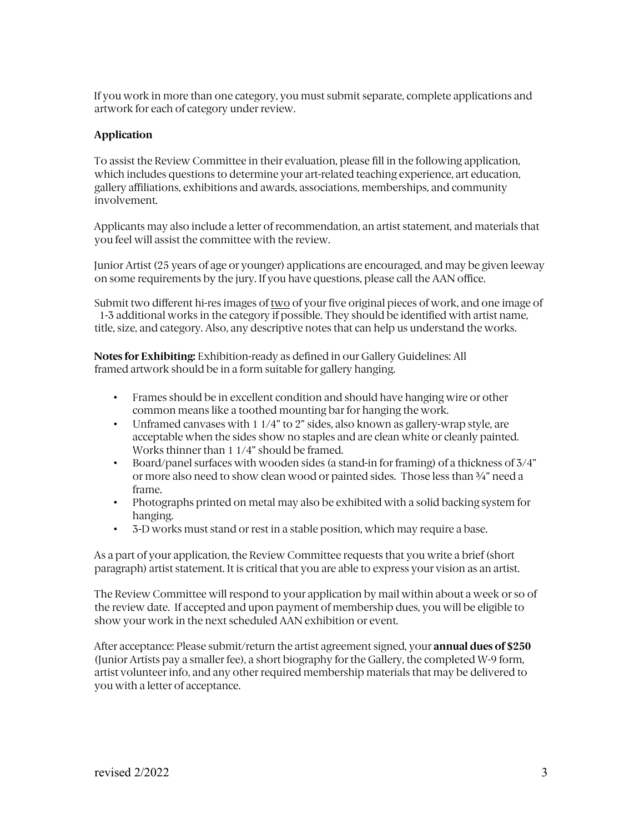If you work in more than one category, you must submit separate, complete applications and artwork for each of category under review.

## **Application**

To assist the Review Committee in their evaluation, please fill in the following application, which includes questions to determine your art-related teaching experience, art education, gallery affiliations, exhibitions and awards, associations, memberships, and community involvement.

Applicants may also include a letter of recommendation, an artist statement, and materials that you feel will assist the committee with the review.

Junior Artist (25 years of age or younger) applications are encouraged, and may be given leeway on some requirements by the jury. If you have questions, please call the AAN office.

Submit two different hi-res images of two of your five original pieces of work, and one image of 1-3 additional works in the category if possible. They should be identified with artist name, title, size, and category. Also, any descriptive notes that can help us understand the works.

**Notes for Exhibiting:** Exhibition-ready as defined in our Gallery Guidelines: All framed artwork should be in a form suitable for gallery hanging.

- Frames should be in excellent condition and should have hanging wire or other common means like a toothed mounting bar for hanging the work.
- Unframed canvases with 1 1/4" to 2" sides, also known as gallery-wrap style, are acceptable when the sides show no staples and are clean white or cleanly painted. Works thinner than 1 1/4" should be framed.
- Board/panel surfaces with wooden sides (a stand-in for framing) of a thickness of 3/4" or more also need to show clean wood or painted sides. Those less than ¾" need a frame.
- Photographs printed on metal may also be exhibited with a solid backing system for hanging.
- 3-D works must stand or rest in a stable position, which may require a base.

As a part of your application, the Review Committee requests that you write a brief (short paragraph) artist statement. It is critical that you are able to express your vision as an artist.

The Review Committee will respond to your application by mail within about a week or so of the review date. If accepted and upon payment of membership dues, you will be eligible to show your work in the next scheduled AAN exhibition or event.

After acceptance: Please submit/return the artist agreement signed, your **annual dues of \$250** (Junior Artists pay a smaller fee), a short biography for the Gallery, the completed W-9 form, artist volunteer info, and any other required membership materials that may be delivered to you with a letter of acceptance.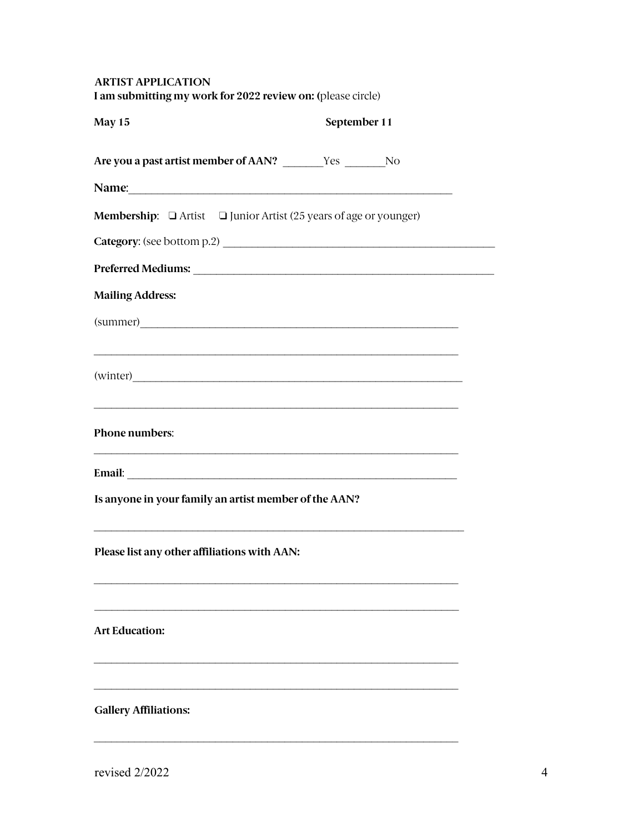**ARTIST APPLICATION** I am submitting my work for 2022 review on: (please circle)

| May 15                                                                             | September 11 |
|------------------------------------------------------------------------------------|--------------|
| Are you a past artist member of AAN? ______Yes ______No                            |              |
| Name:                                                                              |              |
| <b>Membership:</b> $\Box$ Artist $\Box$ Junior Artist (25 years of age or younger) |              |
|                                                                                    |              |
|                                                                                    |              |
| <b>Mailing Address:</b>                                                            |              |
|                                                                                    |              |
|                                                                                    |              |
| Phone numbers:                                                                     |              |
|                                                                                    |              |
| Is anyone in your family an artist member of the AAN?                              |              |
| Please list any other affiliations with AAN:                                       |              |
| <b>Art Education:</b>                                                              |              |
| <b>Gallery Affiliations:</b>                                                       |              |